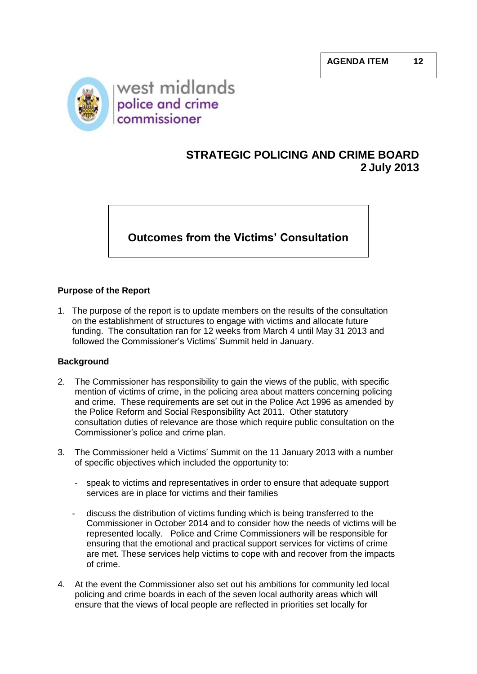

# **STRATEGIC POLICING AND CRIME BOARD 2 July 2013**

## **Outcomes from the Victims' Consultation**

## **Purpose of the Report**

1. The purpose of the report is to update members on the results of the consultation on the establishment of structures to engage with victims and allocate future funding. The consultation ran for 12 weeks from March 4 until May 31 2013 and followed the Commissioner's Victims' Summit held in January.

## **Background**

- 2. The Commissioner has responsibility to gain the views of the public, with specific mention of victims of crime, in the policing area about matters concerning policing and crime. These requirements are set out in the Police Act 1996 as amended by the Police Reform and Social Responsibility Act 2011. Other statutory consultation duties of relevance are those which require public consultation on the Commissioner's police and crime plan.
- 3. The Commissioner held a Victims' Summit on the 11 January 2013 with a number of specific objectives which included the opportunity to:
	- speak to victims and representatives in order to ensure that adequate support services are in place for victims and their families
	- discuss the distribution of victims funding which is being transferred to the Commissioner in October 2014 and to consider how the needs of victims will be represented locally. Police and Crime Commissioners will be responsible for ensuring that the emotional and practical support services for victims of crime are met. These services help victims to cope with and recover from the impacts of crime.
- 4. At the event the Commissioner also set out his ambitions for community led local policing and crime boards in each of the seven local authority areas which will ensure that the views of local people are reflected in priorities set locally for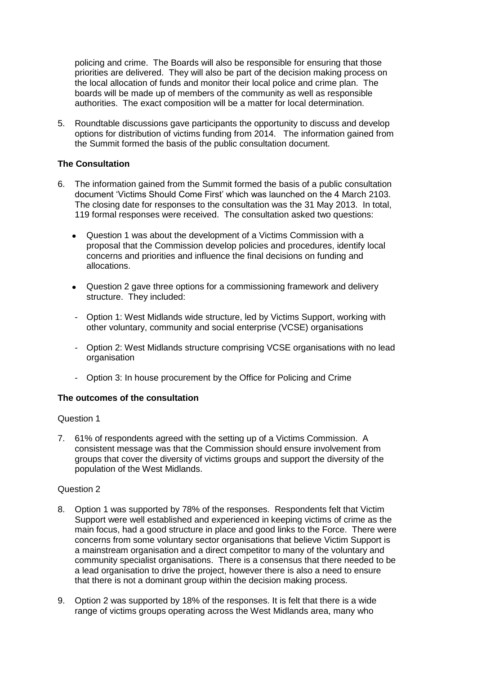policing and crime. The Boards will also be responsible for ensuring that those priorities are delivered. They will also be part of the decision making process on the local allocation of funds and monitor their local police and crime plan. The boards will be made up of members of the community as well as responsible authorities. The exact composition will be a matter for local determination.

5. Roundtable discussions gave participants the opportunity to discuss and develop options for distribution of victims funding from 2014. The information gained from the Summit formed the basis of the public consultation document.

### **The Consultation**

- 6. The information gained from the Summit formed the basis of a public consultation document 'Victims Should Come First' which was launched on the 4 March 2103. The closing date for responses to the consultation was the 31 May 2013. In total, 119 formal responses were received. The consultation asked two questions:
	- Question 1 was about the development of a Victims Commission with a  $\bullet$ proposal that the Commission develop policies and procedures, identify local concerns and priorities and influence the final decisions on funding and allocations.
	- Question 2 gave three options for a commissioning framework and delivery structure. They included:
	- Option 1: West Midlands wide structure, led by Victims Support, working with other voluntary, community and social enterprise (VCSE) organisations
	- Option 2: West Midlands structure comprising VCSE organisations with no lead organisation
	- Option 3: In house procurement by the Office for Policing and Crime

#### **The outcomes of the consultation**

#### Question 1

7. 61% of respondents agreed with the setting up of a Victims Commission. A consistent message was that the Commission should ensure involvement from groups that cover the diversity of victims groups and support the diversity of the population of the West Midlands.

#### Question 2

- 8. Option 1 was supported by 78% of the responses. Respondents felt that Victim Support were well established and experienced in keeping victims of crime as the main focus, had a good structure in place and good links to the Force. There were concerns from some voluntary sector organisations that believe Victim Support is a mainstream organisation and a direct competitor to many of the voluntary and community specialist organisations. There is a consensus that there needed to be a lead organisation to drive the project, however there is also a need to ensure that there is not a dominant group within the decision making process.
- 9. Option 2 was supported by 18% of the responses. It is felt that there is a wide range of victims groups operating across the West Midlands area, many who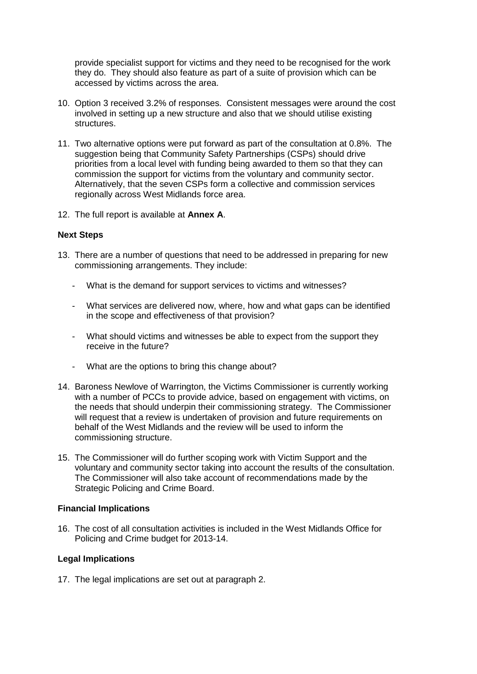provide specialist support for victims and they need to be recognised for the work they do. They should also feature as part of a suite of provision which can be accessed by victims across the area.

- 10. Option 3 received 3.2% of responses. Consistent messages were around the cost involved in setting up a new structure and also that we should utilise existing structures.
- 11. Two alternative options were put forward as part of the consultation at 0.8%. The suggestion being that Community Safety Partnerships (CSPs) should drive priorities from a local level with funding being awarded to them so that they can commission the support for victims from the voluntary and community sector. Alternatively, that the seven CSPs form a collective and commission services regionally across West Midlands force area.
- 12. The full report is available at **Annex A**.

## **Next Steps**

- 13. There are a number of questions that need to be addressed in preparing for new commissioning arrangements. They include:
	- What is the demand for support services to victims and witnesses?
	- What services are delivered now, where, how and what gaps can be identified in the scope and effectiveness of that provision?
	- What should victims and witnesses be able to expect from the support they receive in the future?
	- What are the options to bring this change about?
- 14. Baroness Newlove of Warrington, the Victims Commissioner is currently working with a number of PCCs to provide advice, based on engagement with victims, on the needs that should underpin their commissioning strategy. The Commissioner will request that a review is undertaken of provision and future requirements on behalf of the West Midlands and the review will be used to inform the commissioning structure.
- 15. The Commissioner will do further scoping work with Victim Support and the voluntary and community sector taking into account the results of the consultation. The Commissioner will also take account of recommendations made by the Strategic Policing and Crime Board.

## **Financial Implications**

16. The cost of all consultation activities is included in the West Midlands Office for Policing and Crime budget for 2013-14.

#### **Legal Implications**

17. The legal implications are set out at paragraph 2.